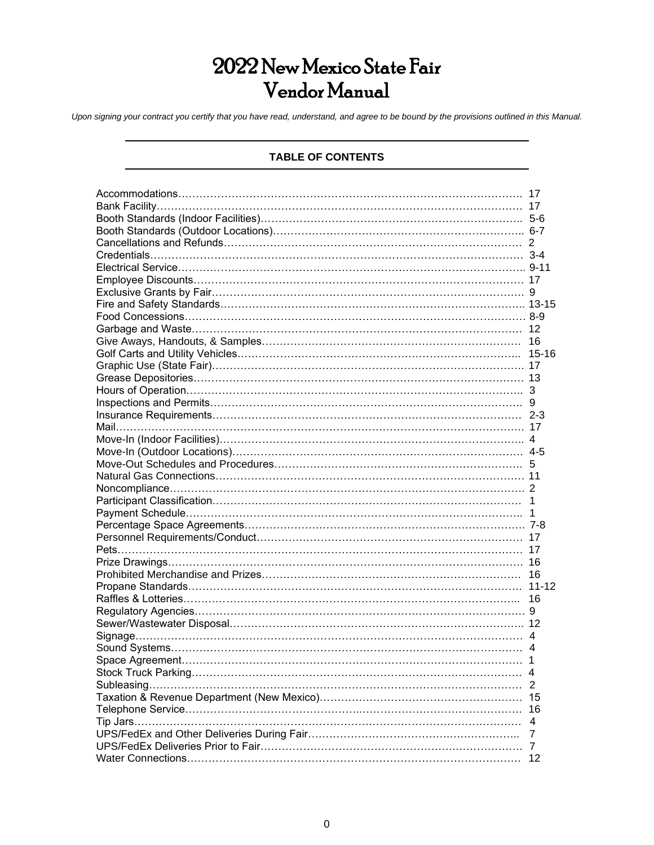# 2022 New Mexico State Fair Vendor Manual

*Upon signing your contract you certify that you have read, understand, and agree to be bound by the provisions outlined in this Manual.*

# **TABLE OF CONTENTS**

| 17 |
|----|
|    |
|    |
|    |
|    |
|    |
|    |
|    |
|    |
|    |
|    |
|    |
|    |
|    |
|    |
|    |
|    |
|    |
|    |
|    |
|    |
|    |
|    |
|    |
|    |
|    |
|    |
|    |
|    |
|    |
|    |
|    |
|    |
| 16 |
|    |
|    |
|    |
|    |
| 1  |
| 4  |
|    |
|    |
|    |
| 4  |
|    |
|    |
| 12 |
|    |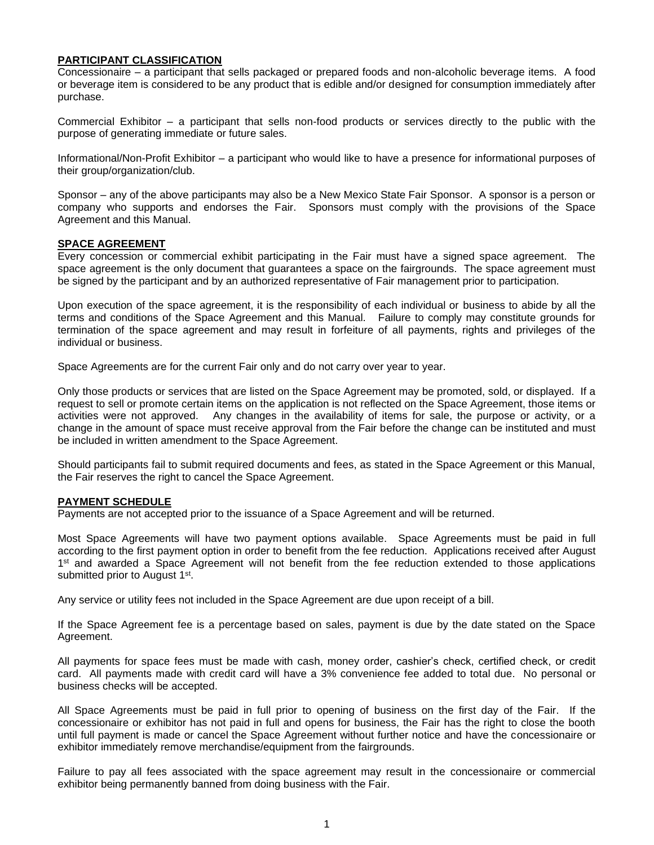#### **PARTICIPANT CLASSIFICATION**

Concessionaire – a participant that sells packaged or prepared foods and non-alcoholic beverage items. A food or beverage item is considered to be any product that is edible and/or designed for consumption immediately after purchase.

Commercial Exhibitor – a participant that sells non-food products or services directly to the public with the purpose of generating immediate or future sales.

Informational/Non-Profit Exhibitor – a participant who would like to have a presence for informational purposes of their group/organization/club.

Sponsor – any of the above participants may also be a New Mexico State Fair Sponsor. A sponsor is a person or company who supports and endorses the Fair. Sponsors must comply with the provisions of the Space Agreement and this Manual.

#### **SPACE AGREEMENT**

Every concession or commercial exhibit participating in the Fair must have a signed space agreement. The space agreement is the only document that guarantees a space on the fairgrounds. The space agreement must be signed by the participant and by an authorized representative of Fair management prior to participation.

Upon execution of the space agreement, it is the responsibility of each individual or business to abide by all the terms and conditions of the Space Agreement and this Manual. Failure to comply may constitute grounds for termination of the space agreement and may result in forfeiture of all payments, rights and privileges of the individual or business.

Space Agreements are for the current Fair only and do not carry over year to year.

Only those products or services that are listed on the Space Agreement may be promoted, sold, or displayed. If a request to sell or promote certain items on the application is not reflected on the Space Agreement, those items or activities were not approved. Any changes in the availability of items for sale, the purpose or activity, or a change in the amount of space must receive approval from the Fair before the change can be instituted and must be included in written amendment to the Space Agreement.

Should participants fail to submit required documents and fees, as stated in the Space Agreement or this Manual, the Fair reserves the right to cancel the Space Agreement.

## **PAYMENT SCHEDULE**

Payments are not accepted prior to the issuance of a Space Agreement and will be returned.

Most Space Agreements will have two payment options available. Space Agreements must be paid in full according to the first payment option in order to benefit from the fee reduction. Applications received after August 1<sup>st</sup> and awarded a Space Agreement will not benefit from the fee reduction extended to those applications submitted prior to August 1<sup>st</sup>.

Any service or utility fees not included in the Space Agreement are due upon receipt of a bill.

If the Space Agreement fee is a percentage based on sales, payment is due by the date stated on the Space Agreement.

All payments for space fees must be made with cash, money order, cashier's check, certified check, or credit card. All payments made with credit card will have a 3% convenience fee added to total due. No personal or business checks will be accepted.

All Space Agreements must be paid in full prior to opening of business on the first day of the Fair. If the concessionaire or exhibitor has not paid in full and opens for business, the Fair has the right to close the booth until full payment is made or cancel the Space Agreement without further notice and have the concessionaire or exhibitor immediately remove merchandise/equipment from the fairgrounds.

Failure to pay all fees associated with the space agreement may result in the concessionaire or commercial exhibitor being permanently banned from doing business with the Fair.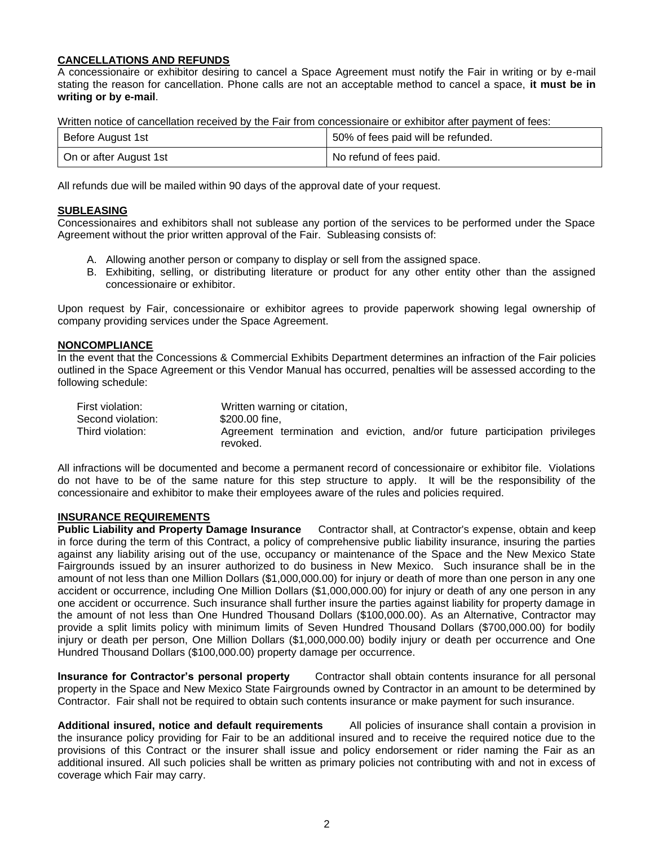## **CANCELLATIONS AND REFUNDS**

A concessionaire or exhibitor desiring to cancel a Space Agreement must notify the Fair in writing or by e-mail stating the reason for cancellation. Phone calls are not an acceptable method to cancel a space, **it must be in writing or by e-mail**.

Written notice of cancellation received by the Fair from concessionaire or exhibitor after payment of fees:

| Before August 1st      | 50% of fees paid will be refunded. |
|------------------------|------------------------------------|
| On or after August 1st | No refund of fees paid.            |

All refunds due will be mailed within 90 days of the approval date of your request.

## **SUBLEASING**

Concessionaires and exhibitors shall not sublease any portion of the services to be performed under the Space Agreement without the prior written approval of the Fair. Subleasing consists of:

- A. Allowing another person or company to display or sell from the assigned space.
- B. Exhibiting, selling, or distributing literature or product for any other entity other than the assigned concessionaire or exhibitor.

Upon request by Fair, concessionaire or exhibitor agrees to provide paperwork showing legal ownership of company providing services under the Space Agreement.

#### **NONCOMPLIANCE**

In the event that the Concessions & Commercial Exhibits Department determines an infraction of the Fair policies outlined in the Space Agreement or this Vendor Manual has occurred, penalties will be assessed according to the following schedule:

| First violation:  | Written warning or citation,                                               |  |  |
|-------------------|----------------------------------------------------------------------------|--|--|
| Second violation: | \$200,00 fine.                                                             |  |  |
| Third violation:  | Agreement termination and eviction, and/or future participation privileges |  |  |
|                   | revoked.                                                                   |  |  |

All infractions will be documented and become a permanent record of concessionaire or exhibitor file. Violations do not have to be of the same nature for this step structure to apply. It will be the responsibility of the concessionaire and exhibitor to make their employees aware of the rules and policies required.

# **INSURANCE REQUIREMENTS**

**Public Liability and Property Damage Insurance** Contractor shall, at Contractor's expense, obtain and keep in force during the term of this Contract, a policy of comprehensive public liability insurance, insuring the parties against any liability arising out of the use, occupancy or maintenance of the Space and the New Mexico State Fairgrounds issued by an insurer authorized to do business in New Mexico. Such insurance shall be in the amount of not less than one Million Dollars (\$1,000,000.00) for injury or death of more than one person in any one accident or occurrence, including One Million Dollars (\$1,000,000.00) for injury or death of any one person in any one accident or occurrence. Such insurance shall further insure the parties against liability for property damage in the amount of not less than One Hundred Thousand Dollars (\$100,000.00). As an Alternative, Contractor may provide a split limits policy with minimum limits of Seven Hundred Thousand Dollars (\$700,000.00) for bodily injury or death per person, One Million Dollars (\$1,000,000.00) bodily injury or death per occurrence and One Hundred Thousand Dollars (\$100,000.00) property damage per occurrence.

**Insurance for Contractor's personal property** Contractor shall obtain contents insurance for all personal property in the Space and New Mexico State Fairgrounds owned by Contractor in an amount to be determined by Contractor. Fair shall not be required to obtain such contents insurance or make payment for such insurance.

**Additional insured, notice and default requirements** All policies of insurance shall contain a provision in the insurance policy providing for Fair to be an additional insured and to receive the required notice due to the provisions of this Contract or the insurer shall issue and policy endorsement or rider naming the Fair as an additional insured. All such policies shall be written as primary policies not contributing with and not in excess of coverage which Fair may carry.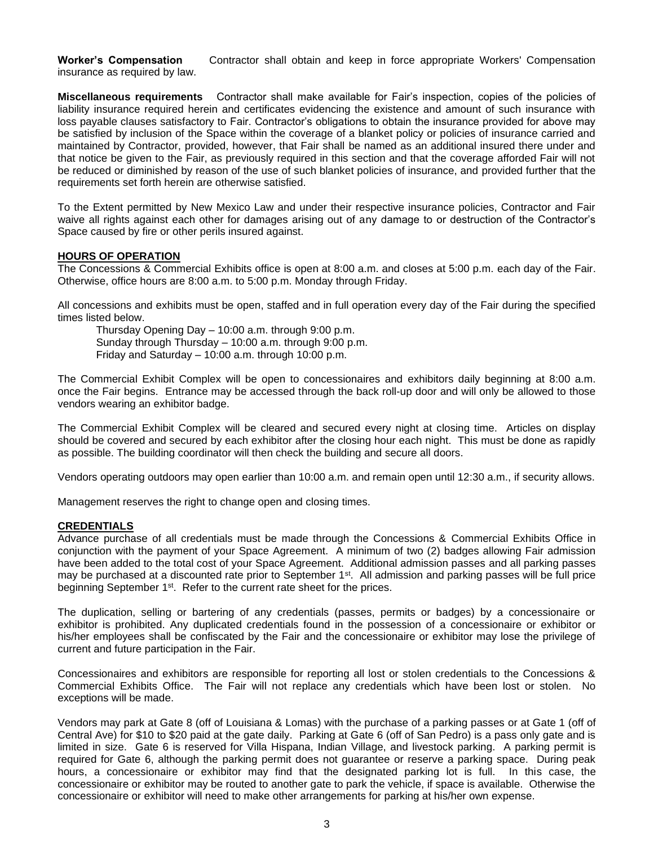**Worker's Compensation** Contractor shall obtain and keep in force appropriate Workers' Compensation insurance as required by law.

**Miscellaneous requirements** Contractor shall make available for Fair's inspection, copies of the policies of liability insurance required herein and certificates evidencing the existence and amount of such insurance with loss payable clauses satisfactory to Fair. Contractor's obligations to obtain the insurance provided for above may be satisfied by inclusion of the Space within the coverage of a blanket policy or policies of insurance carried and maintained by Contractor, provided, however, that Fair shall be named as an additional insured there under and that notice be given to the Fair, as previously required in this section and that the coverage afforded Fair will not be reduced or diminished by reason of the use of such blanket policies of insurance, and provided further that the requirements set forth herein are otherwise satisfied.

To the Extent permitted by New Mexico Law and under their respective insurance policies, Contractor and Fair waive all rights against each other for damages arising out of any damage to or destruction of the Contractor's Space caused by fire or other perils insured against.

#### **HOURS OF OPERATION**

The Concessions & Commercial Exhibits office is open at 8:00 a.m. and closes at 5:00 p.m. each day of the Fair. Otherwise, office hours are 8:00 a.m. to 5:00 p.m. Monday through Friday.

All concessions and exhibits must be open, staffed and in full operation every day of the Fair during the specified times listed below.

Thursday Opening Day – 10:00 a.m. through 9:00 p.m. Sunday through Thursday – 10:00 a.m. through 9:00 p.m. Friday and Saturday – 10:00 a.m. through 10:00 p.m.

The Commercial Exhibit Complex will be open to concessionaires and exhibitors daily beginning at 8:00 a.m. once the Fair begins. Entrance may be accessed through the back roll-up door and will only be allowed to those vendors wearing an exhibitor badge.

The Commercial Exhibit Complex will be cleared and secured every night at closing time. Articles on display should be covered and secured by each exhibitor after the closing hour each night. This must be done as rapidly as possible. The building coordinator will then check the building and secure all doors.

Vendors operating outdoors may open earlier than 10:00 a.m. and remain open until 12:30 a.m., if security allows.

Management reserves the right to change open and closing times.

#### **CREDENTIALS**

Advance purchase of all credentials must be made through the Concessions & Commercial Exhibits Office in conjunction with the payment of your Space Agreement. A minimum of two (2) badges allowing Fair admission have been added to the total cost of your Space Agreement. Additional admission passes and all parking passes may be purchased at a discounted rate prior to September 1<sup>st</sup>. All admission and parking passes will be full price beginning September 1<sup>st</sup>. Refer to the current rate sheet for the prices.

The duplication, selling or bartering of any credentials (passes, permits or badges) by a concessionaire or exhibitor is prohibited. Any duplicated credentials found in the possession of a concessionaire or exhibitor or his/her employees shall be confiscated by the Fair and the concessionaire or exhibitor may lose the privilege of current and future participation in the Fair.

Concessionaires and exhibitors are responsible for reporting all lost or stolen credentials to the Concessions & Commercial Exhibits Office. The Fair will not replace any credentials which have been lost or stolen. No exceptions will be made.

Vendors may park at Gate 8 (off of Louisiana & Lomas) with the purchase of a parking passes or at Gate 1 (off of Central Ave) for \$10 to \$20 paid at the gate daily. Parking at Gate 6 (off of San Pedro) is a pass only gate and is limited in size. Gate 6 is reserved for Villa Hispana, Indian Village, and livestock parking. A parking permit is required for Gate 6, although the parking permit does not guarantee or reserve a parking space. During peak hours, a concessionaire or exhibitor may find that the designated parking lot is full. In this case, the concessionaire or exhibitor may be routed to another gate to park the vehicle, if space is available. Otherwise the concessionaire or exhibitor will need to make other arrangements for parking at his/her own expense.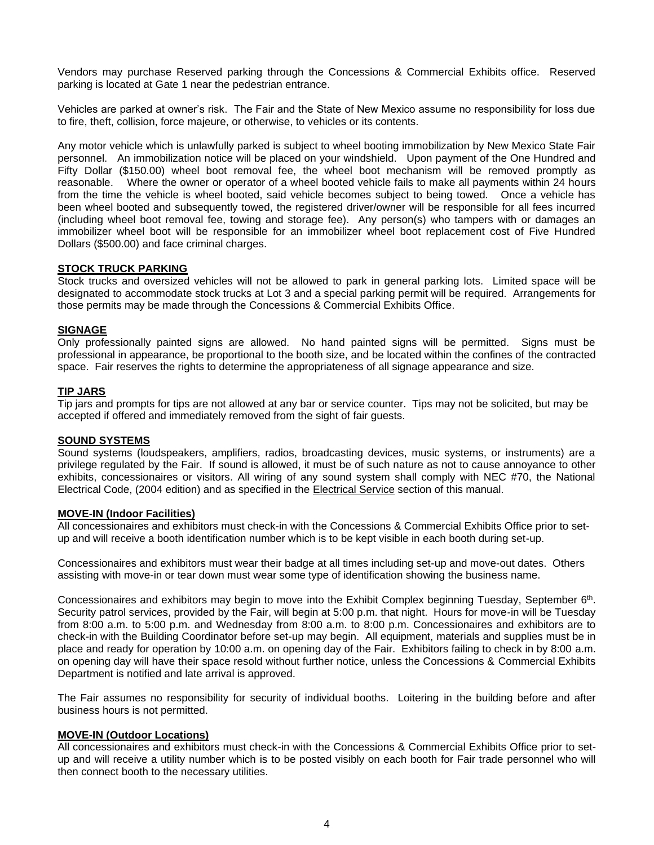Vendors may purchase Reserved parking through the Concessions & Commercial Exhibits office. Reserved parking is located at Gate 1 near the pedestrian entrance.

Vehicles are parked at owner's risk. The Fair and the State of New Mexico assume no responsibility for loss due to fire, theft, collision, force majeure, or otherwise, to vehicles or its contents.

Any motor vehicle which is unlawfully parked is subject to wheel booting immobilization by New Mexico State Fair personnel. An immobilization notice will be placed on your windshield. Upon payment of the One Hundred and Fifty Dollar (\$150.00) wheel boot removal fee, the wheel boot mechanism will be removed promptly as reasonable. Where the owner or operator of a wheel booted vehicle fails to make all payments within 24 hours from the time the vehicle is wheel booted, said vehicle becomes subject to being towed. Once a vehicle has been wheel booted and subsequently towed, the registered driver/owner will be responsible for all fees incurred (including wheel boot removal fee, towing and storage fee). Any person(s) who tampers with or damages an immobilizer wheel boot will be responsible for an immobilizer wheel boot replacement cost of Five Hundred Dollars (\$500.00) and face criminal charges.

#### **STOCK TRUCK PARKING**

Stock trucks and oversized vehicles will not be allowed to park in general parking lots.Limited space will be designated to accommodate stock trucks at Lot 3 and a special parking permit will be required. Arrangements for those permits may be made through the Concessions & Commercial Exhibits Office.

#### **SIGNAGE**

Only professionally painted signs are allowed. No hand painted signs will be permitted. Signs must be professional in appearance, be proportional to the booth size, and be located within the confines of the contracted space. Fair reserves the rights to determine the appropriateness of all signage appearance and size.

#### **TIP JARS**

Tip jars and prompts for tips are not allowed at any bar or service counter. Tips may not be solicited, but may be accepted if offered and immediately removed from the sight of fair guests.

#### **SOUND SYSTEMS**

Sound systems (loudspeakers, amplifiers, radios, broadcasting devices, music systems, or instruments) are a privilege regulated by the Fair. If sound is allowed, it must be of such nature as not to cause annoyance to other exhibits, concessionaires or visitors. All wiring of any sound system shall comply with NEC #70, the National Electrical Code, (2004 edition) and as specified in the Electrical Service section of this manual.

#### **MOVE-IN (Indoor Facilities)**

All concessionaires and exhibitors must check-in with the Concessions & Commercial Exhibits Office prior to setup and will receive a booth identification number which is to be kept visible in each booth during set-up.

Concessionaires and exhibitors must wear their badge at all times including set-up and move-out dates. Others assisting with move-in or tear down must wear some type of identification showing the business name.

Concessionaires and exhibitors may begin to move into the Exhibit Complex beginning Tuesday, September 6<sup>th</sup>. Security patrol services, provided by the Fair, will begin at 5:00 p.m. that night. Hours for move-in will be Tuesday from 8:00 a.m. to 5:00 p.m. and Wednesday from 8:00 a.m. to 8:00 p.m. Concessionaires and exhibitors are to check-in with the Building Coordinator before set-up may begin. All equipment, materials and supplies must be in place and ready for operation by 10:00 a.m. on opening day of the Fair. Exhibitors failing to check in by 8:00 a.m. on opening day will have their space resold without further notice, unless the Concessions & Commercial Exhibits Department is notified and late arrival is approved.

The Fair assumes no responsibility for security of individual booths. Loitering in the building before and after business hours is not permitted.

#### **MOVE-IN (Outdoor Locations)**

All concessionaires and exhibitors must check-in with the Concessions & Commercial Exhibits Office prior to setup and will receive a utility number which is to be posted visibly on each booth for Fair trade personnel who will then connect booth to the necessary utilities.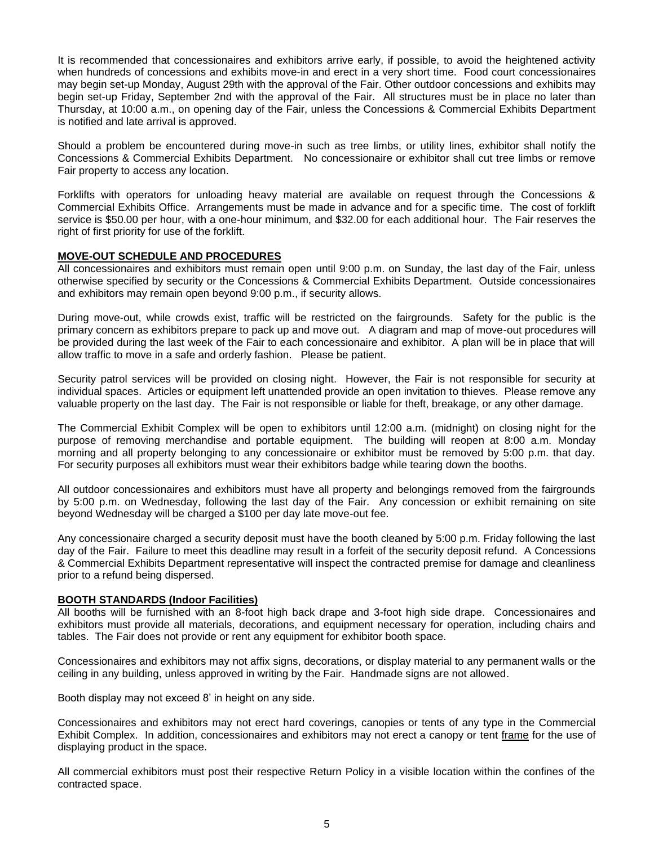It is recommended that concessionaires and exhibitors arrive early, if possible, to avoid the heightened activity when hundreds of concessions and exhibits move-in and erect in a very short time. Food court concessionaires may begin set-up Monday, August 29th with the approval of the Fair. Other outdoor concessions and exhibits may begin set-up Friday, September 2nd with the approval of the Fair. All structures must be in place no later than Thursday, at 10:00 a.m., on opening day of the Fair, unless the Concessions & Commercial Exhibits Department is notified and late arrival is approved.

Should a problem be encountered during move-in such as tree limbs, or utility lines, exhibitor shall notify the Concessions & Commercial Exhibits Department. No concessionaire or exhibitor shall cut tree limbs or remove Fair property to access any location.

Forklifts with operators for unloading heavy material are available on request through the Concessions & Commercial Exhibits Office. Arrangements must be made in advance and for a specific time. The cost of forklift service is \$50.00 per hour, with a one-hour minimum, and \$32.00 for each additional hour. The Fair reserves the right of first priority for use of the forklift.

# **MOVE-OUT SCHEDULE AND PROCEDURES**

All concessionaires and exhibitors must remain open until 9:00 p.m. on Sunday, the last day of the Fair, unless otherwise specified by security or the Concessions & Commercial Exhibits Department. Outside concessionaires and exhibitors may remain open beyond 9:00 p.m., if security allows.

During move-out, while crowds exist, traffic will be restricted on the fairgrounds. Safety for the public is the primary concern as exhibitors prepare to pack up and move out. A diagram and map of move-out procedures will be provided during the last week of the Fair to each concessionaire and exhibitor. A plan will be in place that will allow traffic to move in a safe and orderly fashion. Please be patient.

Security patrol services will be provided on closing night. However, the Fair is not responsible for security at individual spaces. Articles or equipment left unattended provide an open invitation to thieves. Please remove any valuable property on the last day. The Fair is not responsible or liable for theft, breakage, or any other damage.

The Commercial Exhibit Complex will be open to exhibitors until 12:00 a.m. (midnight) on closing night for the purpose of removing merchandise and portable equipment. The building will reopen at 8:00 a.m. Monday morning and all property belonging to any concessionaire or exhibitor must be removed by 5:00 p.m. that day. For security purposes all exhibitors must wear their exhibitors badge while tearing down the booths.

All outdoor concessionaires and exhibitors must have all property and belongings removed from the fairgrounds by 5:00 p.m. on Wednesday, following the last day of the Fair. Any concession or exhibit remaining on site beyond Wednesday will be charged a \$100 per day late move-out fee.

Any concessionaire charged a security deposit must have the booth cleaned by 5:00 p.m. Friday following the last day of the Fair. Failure to meet this deadline may result in a forfeit of the security deposit refund. A Concessions & Commercial Exhibits Department representative will inspect the contracted premise for damage and cleanliness prior to a refund being dispersed.

## **BOOTH STANDARDS (Indoor Facilities)**

All booths will be furnished with an 8-foot high back drape and 3-foot high side drape. Concessionaires and exhibitors must provide all materials, decorations, and equipment necessary for operation, including chairs and tables. The Fair does not provide or rent any equipment for exhibitor booth space.

Concessionaires and exhibitors may not affix signs, decorations, or display material to any permanent walls or the ceiling in any building, unless approved in writing by the Fair. Handmade signs are not allowed.

Booth display may not exceed 8' in height on any side.

Concessionaires and exhibitors may not erect hard coverings, canopies or tents of any type in the Commercial Exhibit Complex. In addition, concessionaires and exhibitors may not erect a canopy or tent frame for the use of displaying product in the space.

All commercial exhibitors must post their respective Return Policy in a visible location within the confines of the contracted space.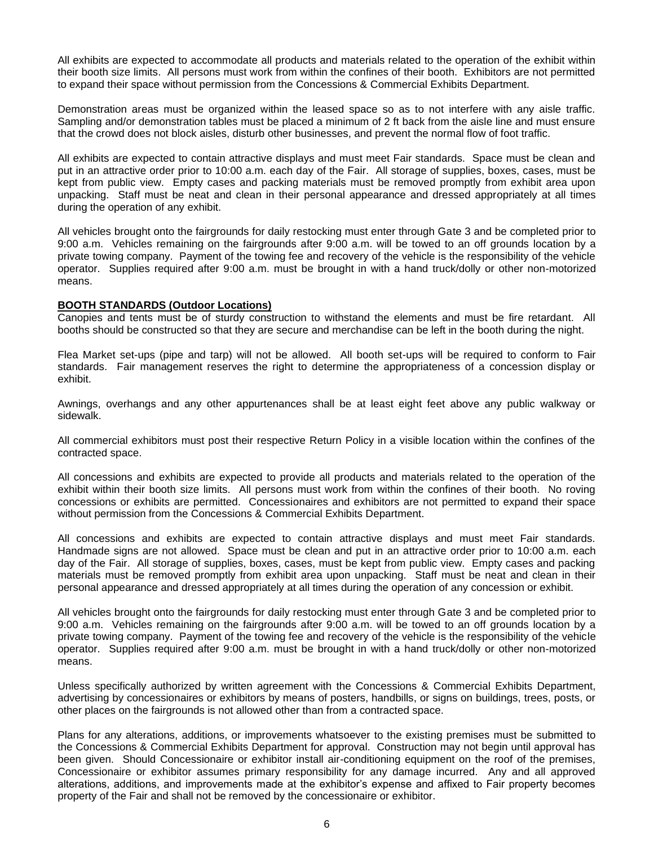All exhibits are expected to accommodate all products and materials related to the operation of the exhibit within their booth size limits. All persons must work from within the confines of their booth. Exhibitors are not permitted to expand their space without permission from the Concessions & Commercial Exhibits Department.

Demonstration areas must be organized within the leased space so as to not interfere with any aisle traffic. Sampling and/or demonstration tables must be placed a minimum of 2 ft back from the aisle line and must ensure that the crowd does not block aisles, disturb other businesses, and prevent the normal flow of foot traffic.

All exhibits are expected to contain attractive displays and must meet Fair standards. Space must be clean and put in an attractive order prior to 10:00 a.m. each day of the Fair. All storage of supplies, boxes, cases, must be kept from public view. Empty cases and packing materials must be removed promptly from exhibit area upon unpacking. Staff must be neat and clean in their personal appearance and dressed appropriately at all times during the operation of any exhibit.

All vehicles brought onto the fairgrounds for daily restocking must enter through Gate 3 and be completed prior to 9:00 a.m. Vehicles remaining on the fairgrounds after 9:00 a.m. will be towed to an off grounds location by a private towing company. Payment of the towing fee and recovery of the vehicle is the responsibility of the vehicle operator. Supplies required after 9:00 a.m. must be brought in with a hand truck/dolly or other non-motorized means.

## **BOOTH STANDARDS (Outdoor Locations)**

Canopies and tents must be of sturdy construction to withstand the elements and must be fire retardant. All booths should be constructed so that they are secure and merchandise can be left in the booth during the night.

Flea Market set-ups (pipe and tarp) will not be allowed. All booth set-ups will be required to conform to Fair standards. Fair management reserves the right to determine the appropriateness of a concession display or exhibit.

Awnings, overhangs and any other appurtenances shall be at least eight feet above any public walkway or sidewalk.

All commercial exhibitors must post their respective Return Policy in a visible location within the confines of the contracted space.

All concessions and exhibits are expected to provide all products and materials related to the operation of the exhibit within their booth size limits. All persons must work from within the confines of their booth. No roving concessions or exhibits are permitted. Concessionaires and exhibitors are not permitted to expand their space without permission from the Concessions & Commercial Exhibits Department.

All concessions and exhibits are expected to contain attractive displays and must meet Fair standards. Handmade signs are not allowed. Space must be clean and put in an attractive order prior to 10:00 a.m. each day of the Fair. All storage of supplies, boxes, cases, must be kept from public view. Empty cases and packing materials must be removed promptly from exhibit area upon unpacking. Staff must be neat and clean in their personal appearance and dressed appropriately at all times during the operation of any concession or exhibit.

All vehicles brought onto the fairgrounds for daily restocking must enter through Gate 3 and be completed prior to 9:00 a.m. Vehicles remaining on the fairgrounds after 9:00 a.m. will be towed to an off grounds location by a private towing company. Payment of the towing fee and recovery of the vehicle is the responsibility of the vehicle operator. Supplies required after 9:00 a.m. must be brought in with a hand truck/dolly or other non-motorized means.

Unless specifically authorized by written agreement with the Concessions & Commercial Exhibits Department, advertising by concessionaires or exhibitors by means of posters, handbills, or signs on buildings, trees, posts, or other places on the fairgrounds is not allowed other than from a contracted space.

Plans for any alterations, additions, or improvements whatsoever to the existing premises must be submitted to the Concessions & Commercial Exhibits Department for approval. Construction may not begin until approval has been given. Should Concessionaire or exhibitor install air-conditioning equipment on the roof of the premises, Concessionaire or exhibitor assumes primary responsibility for any damage incurred. Any and all approved alterations, additions, and improvements made at the exhibitor's expense and affixed to Fair property becomes property of the Fair and shall not be removed by the concessionaire or exhibitor.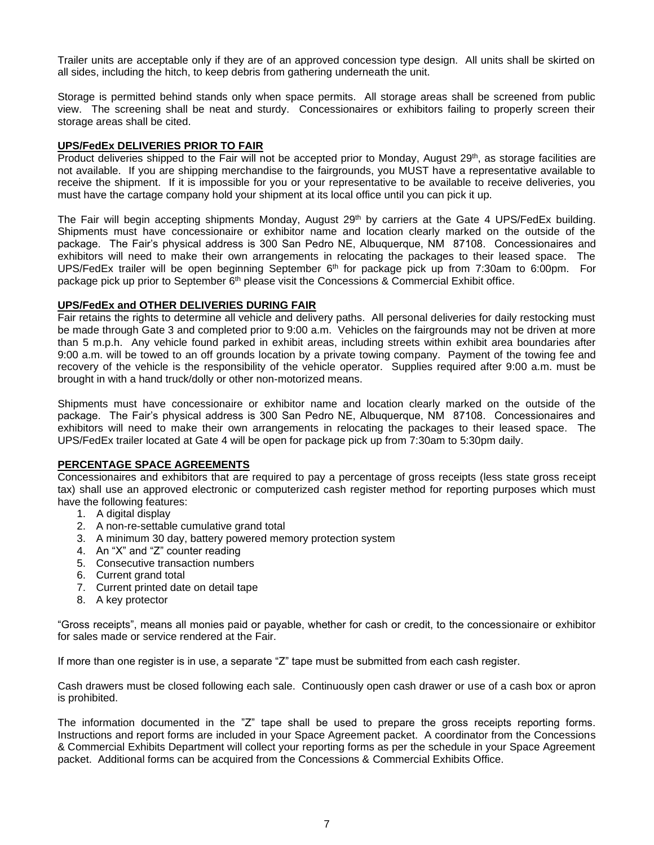Trailer units are acceptable only if they are of an approved concession type design. All units shall be skirted on all sides, including the hitch, to keep debris from gathering underneath the unit.

Storage is permitted behind stands only when space permits. All storage areas shall be screened from public view. The screening shall be neat and sturdy. Concessionaires or exhibitors failing to properly screen their storage areas shall be cited.

#### **UPS/FedEx DELIVERIES PRIOR TO FAIR**

Product deliveries shipped to the Fair will not be accepted prior to Monday, August 29<sup>th</sup>, as storage facilities are not available. If you are shipping merchandise to the fairgrounds, you MUST have a representative available to receive the shipment. If it is impossible for you or your representative to be available to receive deliveries, you must have the cartage company hold your shipment at its local office until you can pick it up.

The Fair will begin accepting shipments Monday, August 29th by carriers at the Gate 4 UPS/FedEx building. Shipments must have concessionaire or exhibitor name and location clearly marked on the outside of the package. The Fair's physical address is 300 San Pedro NE, Albuquerque, NM 87108. Concessionaires and exhibitors will need to make their own arrangements in relocating the packages to their leased space. The UPS/FedEx trailer will be open beginning September 6<sup>th</sup> for package pick up from 7:30am to 6:00pm. For package pick up prior to September 6<sup>th</sup> please visit the Concessions & Commercial Exhibit office.

#### **UPS/FedEx and OTHER DELIVERIES DURING FAIR**

Fair retains the rights to determine all vehicle and delivery paths. All personal deliveries for daily restocking must be made through Gate 3 and completed prior to 9:00 a.m. Vehicles on the fairgrounds may not be driven at more than 5 m.p.h. Any vehicle found parked in exhibit areas, including streets within exhibit area boundaries after 9:00 a.m. will be towed to an off grounds location by a private towing company. Payment of the towing fee and recovery of the vehicle is the responsibility of the vehicle operator. Supplies required after 9:00 a.m. must be brought in with a hand truck/dolly or other non-motorized means.

Shipments must have concessionaire or exhibitor name and location clearly marked on the outside of the package. The Fair's physical address is 300 San Pedro NE, Albuquerque, NM 87108. Concessionaires and exhibitors will need to make their own arrangements in relocating the packages to their leased space. The UPS/FedEx trailer located at Gate 4 will be open for package pick up from 7:30am to 5:30pm daily.

#### **PERCENTAGE SPACE AGREEMENTS**

Concessionaires and exhibitors that are required to pay a percentage of gross receipts (less state gross receipt tax) shall use an approved electronic or computerized cash register method for reporting purposes which must have the following features:

- 1. A digital display
- 2. A non-re-settable cumulative grand total
- 3. A minimum 30 day, battery powered memory protection system
- 4. An "X" and "Z" counter reading
- 5. Consecutive transaction numbers
- 6. Current grand total
- 7. Current printed date on detail tape
- 8. A key protector

"Gross receipts", means all monies paid or payable, whether for cash or credit, to the concessionaire or exhibitor for sales made or service rendered at the Fair.

If more than one register is in use, a separate "Z" tape must be submitted from each cash register.

Cash drawers must be closed following each sale. Continuously open cash drawer or use of a cash box or apron is prohibited.

The information documented in the "Z" tape shall be used to prepare the gross receipts reporting forms. Instructions and report forms are included in your Space Agreement packet. A coordinator from the Concessions & Commercial Exhibits Department will collect your reporting forms as per the schedule in your Space Agreement packet. Additional forms can be acquired from the Concessions & Commercial Exhibits Office.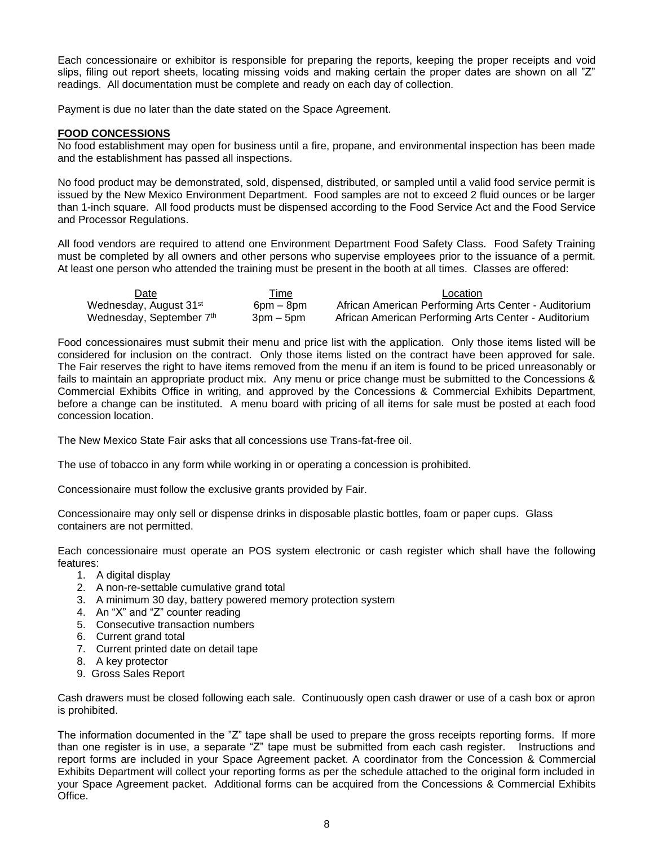Each concessionaire or exhibitor is responsible for preparing the reports, keeping the proper receipts and void slips, filing out report sheets, locating missing voids and making certain the proper dates are shown on all "Z" readings. All documentation must be complete and ready on each day of collection.

Payment is due no later than the date stated on the Space Agreement.

# **FOOD CONCESSIONS**

No food establishment may open for business until a fire, propane, and environmental inspection has been made and the establishment has passed all inspections.

No food product may be demonstrated, sold, dispensed, distributed, or sampled until a valid food service permit is issued by the New Mexico Environment Department. Food samples are not to exceed 2 fluid ounces or be larger than 1-inch square. All food products must be dispensed according to the Food Service Act and the Food Service and Processor Regulations.

All food vendors are required to attend one Environment Department Food Safety Class. Food Safety Training must be completed by all owners and other persons who supervise employees prior to the issuance of a permit. At least one person who attended the training must be present in the booth at all times. Classes are offered:

| Date                               | Time           | Location                                             |
|------------------------------------|----------------|------------------------------------------------------|
| Wednesday, August 31 <sup>st</sup> | $6$ pm $-$ 8pm | African American Performing Arts Center - Auditorium |
| Wednesday, September 7th           | $3pm - 5pm$    | African American Performing Arts Center - Auditorium |

Food concessionaires must submit their menu and price list with the application. Only those items listed will be considered for inclusion on the contract. Only those items listed on the contract have been approved for sale. The Fair reserves the right to have items removed from the menu if an item is found to be priced unreasonably or fails to maintain an appropriate product mix. Any menu or price change must be submitted to the Concessions & Commercial Exhibits Office in writing, and approved by the Concessions & Commercial Exhibits Department, before a change can be instituted. A menu board with pricing of all items for sale must be posted at each food concession location.

The New Mexico State Fair asks that all concessions use Trans-fat-free oil.

The use of tobacco in any form while working in or operating a concession is prohibited.

Concessionaire must follow the exclusive grants provided by Fair.

Concessionaire may only sell or dispense drinks in disposable plastic bottles, foam or paper cups. Glass containers are not permitted.

Each concessionaire must operate an POS system electronic or cash register which shall have the following features:

- 1. A digital display
- 2. A non-re-settable cumulative grand total
- 3. A minimum 30 day, battery powered memory protection system
- 4. An "X" and "Z" counter reading
- 5. Consecutive transaction numbers
- 6. Current grand total
- 7. Current printed date on detail tape
- 8. A key protector
- 9. Gross Sales Report

Cash drawers must be closed following each sale. Continuously open cash drawer or use of a cash box or apron is prohibited.

The information documented in the "Z" tape shall be used to prepare the gross receipts reporting forms. If more than one register is in use, a separate "Z" tape must be submitted from each cash register. Instructions and report forms are included in your Space Agreement packet. A coordinator from the Concession & Commercial Exhibits Department will collect your reporting forms as per the schedule attached to the original form included in your Space Agreement packet. Additional forms can be acquired from the Concessions & Commercial Exhibits Office.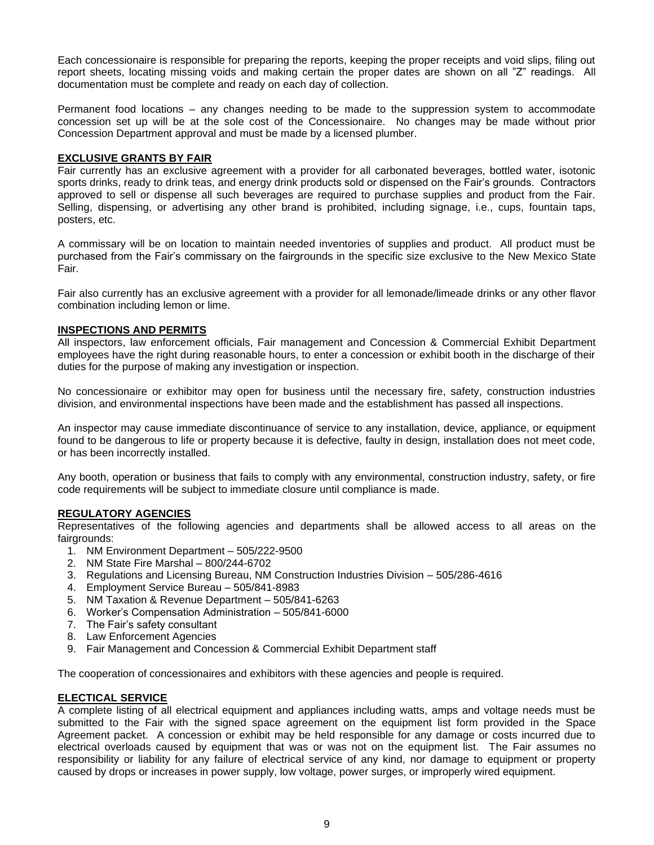Each concessionaire is responsible for preparing the reports, keeping the proper receipts and void slips, filing out report sheets, locating missing voids and making certain the proper dates are shown on all "Z" readings. All documentation must be complete and ready on each day of collection.

Permanent food locations – any changes needing to be made to the suppression system to accommodate concession set up will be at the sole cost of the Concessionaire. No changes may be made without prior Concession Department approval and must be made by a licensed plumber.

## **EXCLUSIVE GRANTS BY FAIR**

Fair currently has an exclusive agreement with a provider for all carbonated beverages, bottled water, isotonic sports drinks, ready to drink teas, and energy drink products sold or dispensed on the Fair's grounds. Contractors approved to sell or dispense all such beverages are required to purchase supplies and product from the Fair. Selling, dispensing, or advertising any other brand is prohibited, including signage, i.e., cups, fountain taps, posters, etc.

A commissary will be on location to maintain needed inventories of supplies and product. All product must be purchased from the Fair's commissary on the fairgrounds in the specific size exclusive to the New Mexico State Fair.

Fair also currently has an exclusive agreement with a provider for all lemonade/limeade drinks or any other flavor combination including lemon or lime.

## **INSPECTIONS AND PERMITS**

All inspectors, law enforcement officials, Fair management and Concession & Commercial Exhibit Department employees have the right during reasonable hours, to enter a concession or exhibit booth in the discharge of their duties for the purpose of making any investigation or inspection.

No concessionaire or exhibitor may open for business until the necessary fire, safety, construction industries division, and environmental inspections have been made and the establishment has passed all inspections.

An inspector may cause immediate discontinuance of service to any installation, device, appliance, or equipment found to be dangerous to life or property because it is defective, faulty in design, installation does not meet code, or has been incorrectly installed.

Any booth, operation or business that fails to comply with any environmental, construction industry, safety, or fire code requirements will be subject to immediate closure until compliance is made.

## **REGULATORY AGENCIES**

Representatives of the following agencies and departments shall be allowed access to all areas on the fairgrounds:

- 1. NM Environment Department 505/222-9500
- 2. NM State Fire Marshal 800/244-6702
- 3. Regulations and Licensing Bureau, NM Construction Industries Division 505/286-4616
- 4. Employment Service Bureau 505/841-8983
- 5. NM Taxation & Revenue Department 505/841-6263
- 6. Worker's Compensation Administration 505/841-6000
- 7. The Fair's safety consultant
- 8. Law Enforcement Agencies
- 9. Fair Management and Concession & Commercial Exhibit Department staff

The cooperation of concessionaires and exhibitors with these agencies and people is required.

# **ELECTICAL SERVICE**

A complete listing of all electrical equipment and appliances including watts, amps and voltage needs must be submitted to the Fair with the signed space agreement on the equipment list form provided in the Space Agreement packet. A concession or exhibit may be held responsible for any damage or costs incurred due to electrical overloads caused by equipment that was or was not on the equipment list. The Fair assumes no responsibility or liability for any failure of electrical service of any kind, nor damage to equipment or property caused by drops or increases in power supply, low voltage, power surges, or improperly wired equipment.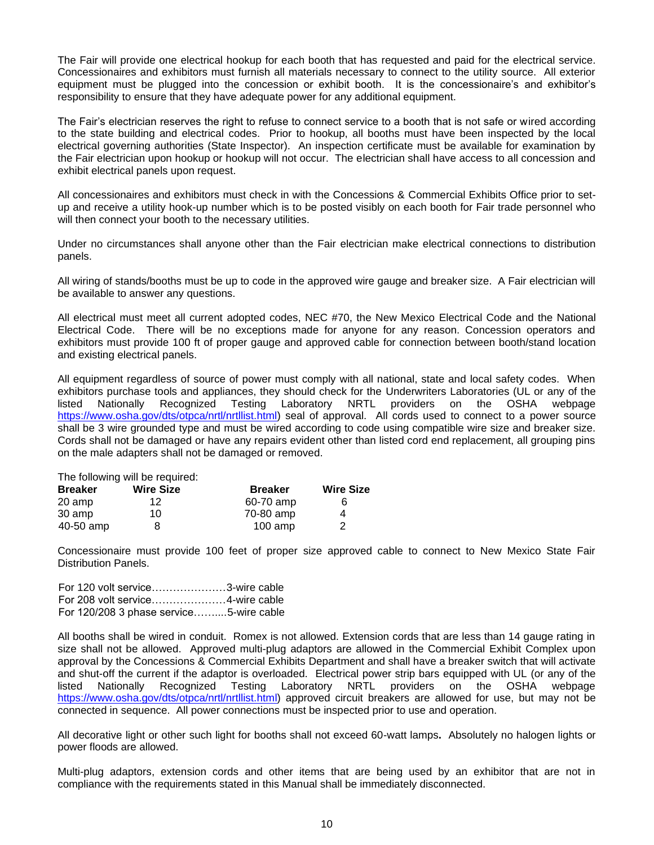The Fair will provide one electrical hookup for each booth that has requested and paid for the electrical service. Concessionaires and exhibitors must furnish all materials necessary to connect to the utility source. All exterior equipment must be plugged into the concession or exhibit booth. It is the concessionaire's and exhibitor's responsibility to ensure that they have adequate power for any additional equipment.

The Fair's electrician reserves the right to refuse to connect service to a booth that is not safe or wired according to the state building and electrical codes. Prior to hookup, all booths must have been inspected by the local electrical governing authorities (State Inspector). An inspection certificate must be available for examination by the Fair electrician upon hookup or hookup will not occur. The electrician shall have access to all concession and exhibit electrical panels upon request.

All concessionaires and exhibitors must check in with the Concessions & Commercial Exhibits Office prior to setup and receive a utility hook-up number which is to be posted visibly on each booth for Fair trade personnel who will then connect your booth to the necessary utilities.

Under no circumstances shall anyone other than the Fair electrician make electrical connections to distribution panels.

All wiring of stands/booths must be up to code in the approved wire gauge and breaker size. A Fair electrician will be available to answer any questions.

All electrical must meet all current adopted codes, NEC #70, the New Mexico Electrical Code and the National Electrical Code. There will be no exceptions made for anyone for any reason. Concession operators and exhibitors must provide 100 ft of proper gauge and approved cable for connection between booth/stand location and existing electrical panels.

All equipment regardless of source of power must comply with all national, state and local safety codes. When exhibitors purchase tools and appliances, they should check for the Underwriters Laboratories (UL or any of the listed Nationally Recognized Testing Laboratory NRTL providers on the OSHA webpage [https://www.osha.gov/dts/otpca/nrtl/nrtllist.html\)](https://www.osha.gov/dts/otpca/nrtl/nrtllist.html) seal of approval. All cords used to connect to a power source shall be 3 wire grounded type and must be wired according to code using compatible wire size and breaker size. Cords shall not be damaged or have any repairs evident other than listed cord end replacement, all grouping pins on the male adapters shall not be damaged or removed.

The following will be required:

| <b>Breaker</b> | <b>Wire Size</b> | <b>Breaker</b> | <b>Wire Size</b> |
|----------------|------------------|----------------|------------------|
| 20 amp         | 12               | 60-70 amp      | 6                |
| 30 amp         | 10               | 70-80 amp      | 4                |
| 40-50 amp      |                  | $100$ amp      | 2                |

Concessionaire must provide 100 feet of proper size approved cable to connect to New Mexico State Fair Distribution Panels.

| For 120 volt service3-wire cable        |  |
|-----------------------------------------|--|
|                                         |  |
| For 120/208 3 phase service5-wire cable |  |

All booths shall be wired in conduit. Romex is not allowed. Extension cords that are less than 14 gauge rating in size shall not be allowed. Approved multi-plug adaptors are allowed in the Commercial Exhibit Complex upon approval by the Concessions & Commercial Exhibits Department and shall have a breaker switch that will activate and shut-off the current if the adaptor is overloaded. Electrical power strip bars equipped with UL (or any of the listed Nationally Recognized Testing Laboratory NRTL providers on the OSHA webpage [https://www.osha.gov/dts/otpca/nrtl/nrtllist.html\)](https://www.osha.gov/dts/otpca/nrtl/nrtllist.html) approved circuit breakers are allowed for use, but may not be connected in sequence. All power connections must be inspected prior to use and operation.

All decorative light or other such light for booths shall not exceed 60-watt lamps**.** Absolutely no halogen lights or power floods are allowed.

Multi-plug adaptors, extension cords and other items that are being used by an exhibitor that are not in compliance with the requirements stated in this Manual shall be immediately disconnected.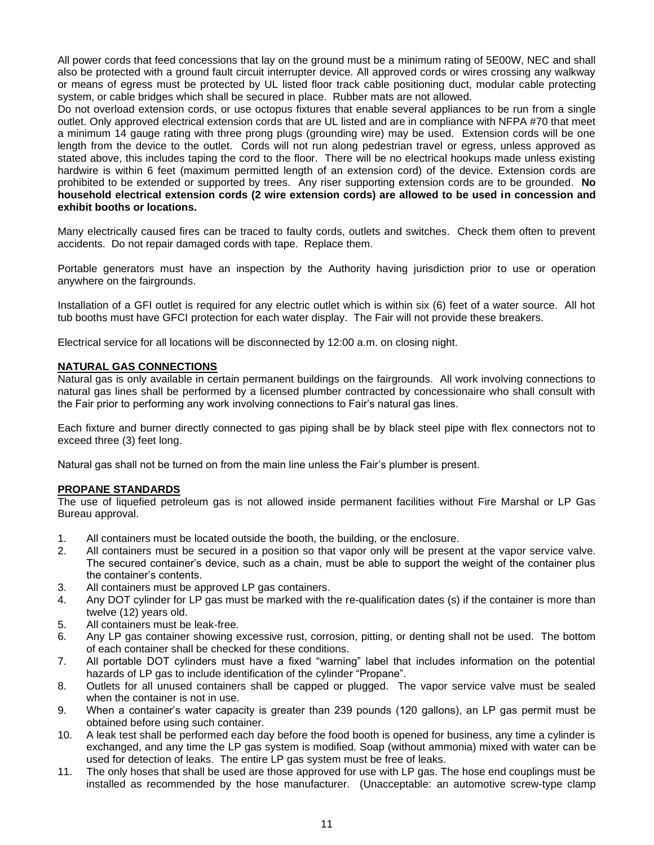All power cords that feed concessions that lay on the ground must be a minimum rating of 5E00W, NEC and shall also be protected with a ground fault circuit interrupter device. All approved cords or wires crossing any walkway or means of egress must be protected by UL listed floor track cable positioning duct, modular cable protecting system, or cable bridges which shall be secured in place. Rubber mats are not allowed.

Do not overload extension cords, or use octopus fixtures that enable several appliances to be run from a single outlet. Only approved electrical extension cords that are UL listed and are in compliance with NFPA #70 that meet a minimum 14 gauge rating with three prong plugs (grounding wire) may be used. Extension cords will be one length from the device to the outlet. Cords will not run along pedestrian travel or egress, unless approved as stated above, this includes taping the cord to the floor. There will be no electrical hookups made unless existing hardwire is within 6 feet (maximum permitted length of an extension cord) of the device. Extension cords are prohibited to be extended or supported by trees.Any riser supporting extension cords are to be grounded. **No household electrical extension cords (2 wire extension cords) are allowed to be used in concession and exhibit booths or locations.**

Many electrically caused fires can be traced to faulty cords, outlets and switches. Check them often to prevent accidents. Do not repair damaged cords with tape. Replace them.

Portable generators must have an inspection by the Authority having jurisdiction prior to use or operation anywhere on the fairgrounds.

Installation of a GFI outlet is required for any electric outlet which is within six (6) feet of a water source. All hot tub booths must have GFCI protection for each water display. The Fair will not provide these breakers.

Electrical service for all locations will be disconnected by 12:00 a.m. on closing night.

## **NATURAL GAS CONNECTIONS**

Natural gas is only available in certain permanent buildings on the fairgrounds. All work involving connections to natural gas lines shall be performed by a licensed plumber contracted by concessionaire who shall consult with the Fair prior to performing any work involving connections to Fair's natural gas lines.

Each fixture and burner directly connected to gas piping shall be by black steel pipe with flex connectors not to exceed three (3) feet long.

Natural gas shall not be turned on from the main line unless the Fair's plumber is present.

#### **PROPANE STANDARDS**

The use of liquefied petroleum gas is not allowed inside permanent facilities without Fire Marshal or LP Gas Bureau approval.

- 1. All containers must be located outside the booth, the building, or the enclosure.
- 2. All containers must be secured in a position so that vapor only will be present at the vapor service valve. The secured container's device, such as a chain, must be able to support the weight of the container plus the container's contents.
- 3. All containers must be approved LP gas containers.
- 4. Any DOT cylinder for LP gas must be marked with the re-qualification dates (s) if the container is more than twelve (12) years old.
- 5. All containers must be leak-free.
- 6. Any LP gas container showing excessive rust, corrosion, pitting, or denting shall not be used. The bottom of each container shall be checked for these conditions.
- 7. All portable DOT cylinders must have a fixed "warning" label that includes information on the potential hazards of LP gas to include identification of the cylinder "Propane".
- 8. Outlets for all unused containers shall be capped or plugged. The vapor service valve must be sealed when the container is not in use.
- 9. When a container's water capacity is greater than 239 pounds (120 gallons), an LP gas permit must be obtained before using such container.
- 10. A leak test shall be performed each day before the food booth is opened for business, any time a cylinder is exchanged, and any time the LP gas system is modified. Soap (without ammonia) mixed with water can be used for detection of leaks. The entire LP gas system must be free of leaks.
- 11. The only hoses that shall be used are those approved for use with LP gas. The hose end couplings must be installed as recommended by the hose manufacturer. (Unacceptable: an automotive screw-type clamp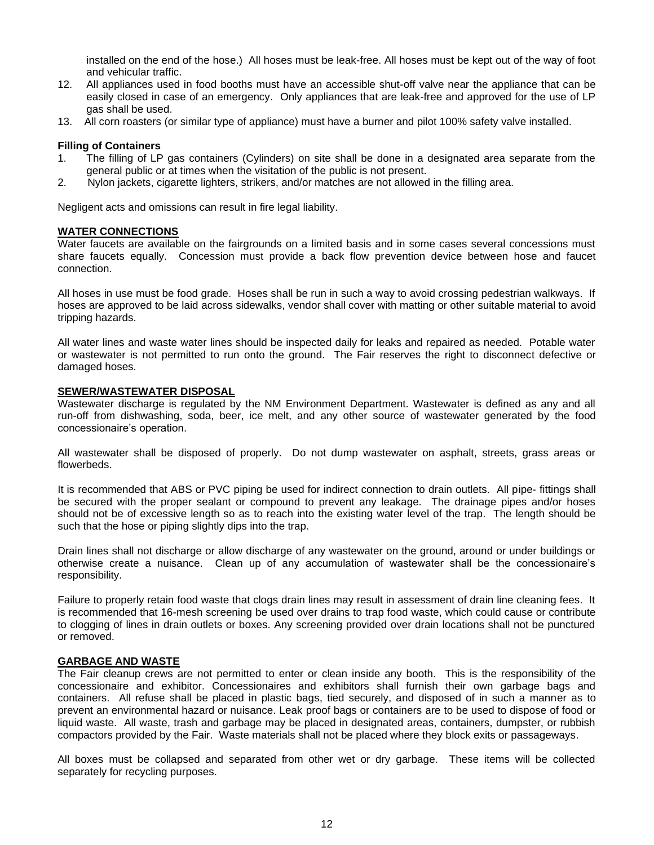installed on the end of the hose.) All hoses must be leak-free. All hoses must be kept out of the way of foot and vehicular traffic.

- 12. All appliances used in food booths must have an accessible shut-off valve near the appliance that can be easily closed in case of an emergency. Only appliances that are leak-free and approved for the use of LP gas shall be used.
- 13. All corn roasters (or similar type of appliance) must have a burner and pilot 100% safety valve installed.

#### **Filling of Containers**

- 1. The filling of LP gas containers (Cylinders) on site shall be done in a designated area separate from the general public or at times when the visitation of the public is not present.
- 2. Nylon jackets, cigarette lighters, strikers, and/or matches are not allowed in the filling area.

Negligent acts and omissions can result in fire legal liability.

#### **WATER CONNECTIONS**

Water faucets are available on the fairgrounds on a limited basis and in some cases several concessions must share faucets equally. Concession must provide a back flow prevention device between hose and faucet connection.

All hoses in use must be food grade. Hoses shall be run in such a way to avoid crossing pedestrian walkways. If hoses are approved to be laid across sidewalks, vendor shall cover with matting or other suitable material to avoid tripping hazards.

All water lines and waste water lines should be inspected daily for leaks and repaired as needed. Potable water or wastewater is not permitted to run onto the ground. The Fair reserves the right to disconnect defective or damaged hoses.

#### **SEWER/WASTEWATER DISPOSAL**

Wastewater discharge is regulated by the NM Environment Department. Wastewater is defined as any and all run-off from dishwashing, soda, beer, ice melt, and any other source of wastewater generated by the food concessionaire's operation.

All wastewater shall be disposed of properly. Do not dump wastewater on asphalt, streets, grass areas or flowerbeds.

It is recommended that ABS or PVC piping be used for indirect connection to drain outlets. All pipe- fittings shall be secured with the proper sealant or compound to prevent any leakage. The drainage pipes and/or hoses should not be of excessive length so as to reach into the existing water level of the trap. The length should be such that the hose or piping slightly dips into the trap.

Drain lines shall not discharge or allow discharge of any wastewater on the ground, around or under buildings or otherwise create a nuisance. Clean up of any accumulation of wastewater shall be the concessionaire's responsibility.

Failure to properly retain food waste that clogs drain lines may result in assessment of drain line cleaning fees. It is recommended that 16-mesh screening be used over drains to trap food waste, which could cause or contribute to clogging of lines in drain outlets or boxes. Any screening provided over drain locations shall not be punctured or removed.

#### **GARBAGE AND WASTE**

The Fair cleanup crews are not permitted to enter or clean inside any booth. This is the responsibility of the concessionaire and exhibitor. Concessionaires and exhibitors shall furnish their own garbage bags and containers. All refuse shall be placed in plastic bags, tied securely, and disposed of in such a manner as to prevent an environmental hazard or nuisance. Leak proof bags or containers are to be used to dispose of food or liquid waste. All waste, trash and garbage may be placed in designated areas, containers, dumpster, or rubbish compactors provided by the Fair. Waste materials shall not be placed where they block exits or passageways.

All boxes must be collapsed and separated from other wet or dry garbage. These items will be collected separately for recycling purposes.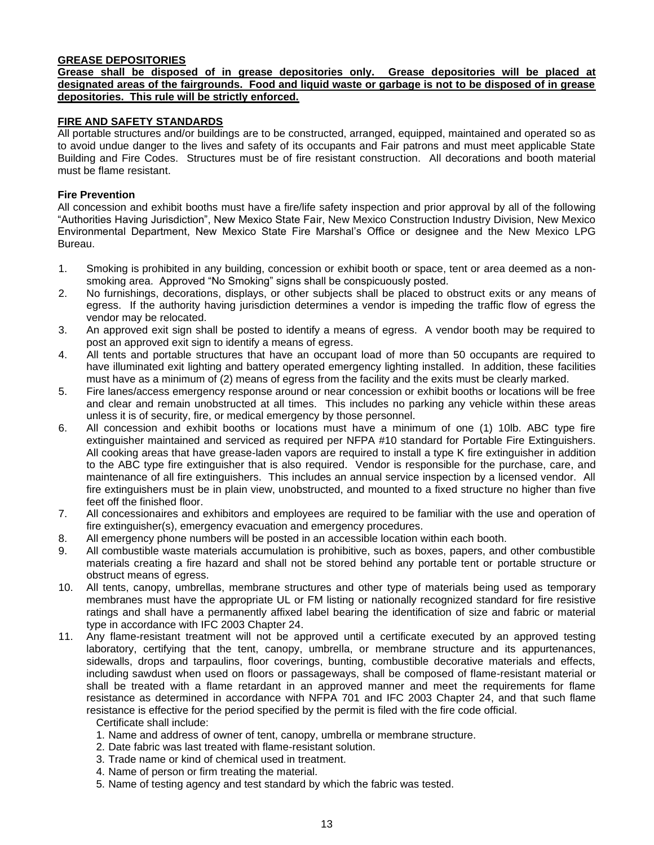# **GREASE DEPOSITORIES**

**Grease shall be disposed of in grease depositories only. Grease depositories will be placed at designated areas of the fairgrounds. Food and liquid waste or garbage is not to be disposed of in grease depositories. This rule will be strictly enforced.**

## **FIRE AND SAFETY STANDARDS**

All portable structures and/or buildings are to be constructed, arranged, equipped, maintained and operated so as to avoid undue danger to the lives and safety of its occupants and Fair patrons and must meet applicable State Building and Fire Codes. Structures must be of fire resistant construction. All decorations and booth material must be flame resistant.

#### **Fire Prevention**

All concession and exhibit booths must have a fire/life safety inspection and prior approval by all of the following "Authorities Having Jurisdiction", New Mexico State Fair, New Mexico Construction Industry Division, New Mexico Environmental Department, New Mexico State Fire Marshal's Office or designee and the New Mexico LPG Bureau.

- 1. Smoking is prohibited in any building, concession or exhibit booth or space, tent or area deemed as a nonsmoking area. Approved "No Smoking" signs shall be conspicuously posted.
- 2. No furnishings, decorations, displays, or other subjects shall be placed to obstruct exits or any means of egress. If the authority having jurisdiction determines a vendor is impeding the traffic flow of egress the vendor may be relocated.
- 3. An approved exit sign shall be posted to identify a means of egress. A vendor booth may be required to post an approved exit sign to identify a means of egress.
- 4. All tents and portable structures that have an occupant load of more than 50 occupants are required to have illuminated exit lighting and battery operated emergency lighting installed. In addition, these facilities must have as a minimum of (2) means of egress from the facility and the exits must be clearly marked.
- 5. Fire lanes/access emergency response around or near concession or exhibit booths or locations will be free and clear and remain unobstructed at all times. This includes no parking any vehicle within these areas unless it is of security, fire, or medical emergency by those personnel.
- 6. All concession and exhibit booths or locations must have a minimum of one (1) 10lb. ABC type fire extinguisher maintained and serviced as required per NFPA #10 standard for Portable Fire Extinguishers. All cooking areas that have grease-laden vapors are required to install a type K fire extinguisher in addition to the ABC type fire extinguisher that is also required. Vendor is responsible for the purchase, care, and maintenance of all fire extinguishers. This includes an annual service inspection by a licensed vendor. All fire extinguishers must be in plain view, unobstructed, and mounted to a fixed structure no higher than five feet off the finished floor.
- 7. All concessionaires and exhibitors and employees are required to be familiar with the use and operation of fire extinguisher(s), emergency evacuation and emergency procedures.
- 8. All emergency phone numbers will be posted in an accessible location within each booth.
- 9. All combustible waste materials accumulation is prohibitive, such as boxes, papers, and other combustible materials creating a fire hazard and shall not be stored behind any portable tent or portable structure or obstruct means of egress.
- 10. All tents, canopy, umbrellas, membrane structures and other type of materials being used as temporary membranes must have the appropriate UL or FM listing or nationally recognized standard for fire resistive ratings and shall have a permanently affixed label bearing the identification of size and fabric or material type in accordance with IFC 2003 Chapter 24.
- 11. Any flame-resistant treatment will not be approved until a certificate executed by an approved testing laboratory, certifying that the tent, canopy, umbrella, or membrane structure and its appurtenances, sidewalls, drops and tarpaulins, floor coverings, bunting, combustible decorative materials and effects, including sawdust when used on floors or passageways, shall be composed of flame-resistant material or shall be treated with a flame retardant in an approved manner and meet the requirements for flame resistance as determined in accordance with NFPA 701 and IFC 2003 Chapter 24, and that such flame resistance is effective for the period specified by the permit is filed with the fire code official.

Certificate shall include:

- 1. Name and address of owner of tent, canopy, umbrella or membrane structure.
- 2. Date fabric was last treated with flame-resistant solution.
- 3. Trade name or kind of chemical used in treatment.
- 4. Name of person or firm treating the material.
- 5. Name of testing agency and test standard by which the fabric was tested.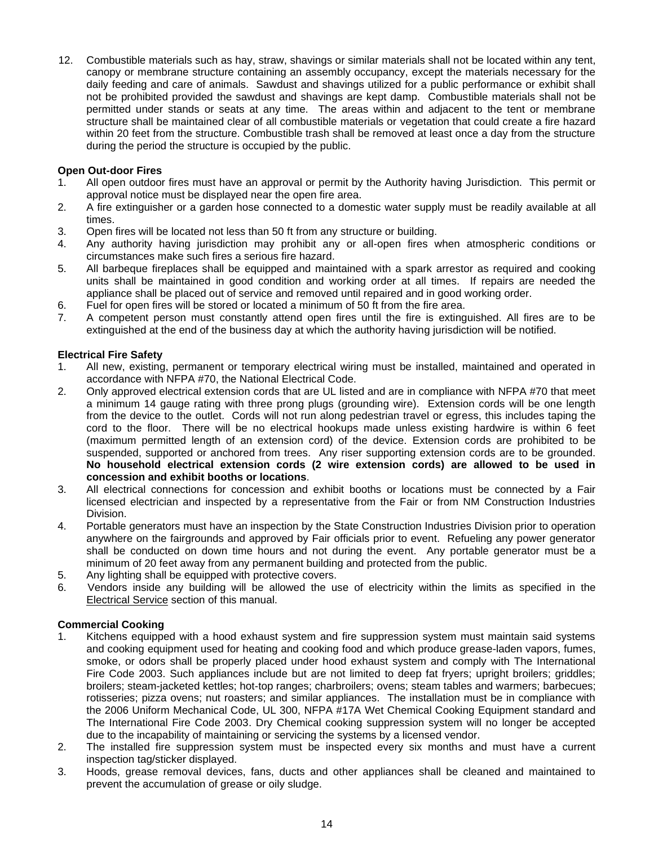12. Combustible materials such as hay, straw, shavings or similar materials shall not be located within any tent, canopy or membrane structure containing an assembly occupancy, except the materials necessary for the daily feeding and care of animals. Sawdust and shavings utilized for a public performance or exhibit shall not be prohibited provided the sawdust and shavings are kept damp. Combustible materials shall not be permitted under stands or seats at any time. The areas within and adjacent to the tent or membrane structure shall be maintained clear of all combustible materials or vegetation that could create a fire hazard within 20 feet from the structure. Combustible trash shall be removed at least once a day from the structure during the period the structure is occupied by the public.

# **Open Out-door Fires**

- 1. All open outdoor fires must have an approval or permit by the Authority having Jurisdiction. This permit or approval notice must be displayed near the open fire area.
- 2. A fire extinguisher or a garden hose connected to a domestic water supply must be readily available at all times.
- 3. Open fires will be located not less than 50 ft from any structure or building.
- 4. Any authority having jurisdiction may prohibit any or all-open fires when atmospheric conditions or circumstances make such fires a serious fire hazard.
- 5. All barbeque fireplaces shall be equipped and maintained with a spark arrestor as required and cooking units shall be maintained in good condition and working order at all times. If repairs are needed the appliance shall be placed out of service and removed until repaired and in good working order.
- 6. Fuel for open fires will be stored or located a minimum of 50 ft from the fire area.
- 7. A competent person must constantly attend open fires until the fire is extinguished. All fires are to be extinguished at the end of the business day at which the authority having jurisdiction will be notified.

# **Electrical Fire Safety**

- 1. All new, existing, permanent or temporary electrical wiring must be installed, maintained and operated in accordance with NFPA #70, the National Electrical Code.
- 2. Only approved electrical extension cords that are UL listed and are in compliance with NFPA #70 that meet a minimum 14 gauge rating with three prong plugs (grounding wire). Extension cords will be one length from the device to the outlet. Cords will not run along pedestrian travel or egress, this includes taping the cord to the floor. There will be no electrical hookups made unless existing hardwire is within 6 feet (maximum permitted length of an extension cord) of the device. Extension cords are prohibited to be suspended, supported or anchored from trees.Any riser supporting extension cords are to be grounded. **No household electrical extension cords (2 wire extension cords) are allowed to be used in concession and exhibit booths or locations**.
- 3. All electrical connections for concession and exhibit booths or locations must be connected by a Fair licensed electrician and inspected by a representative from the Fair or from NM Construction Industries Division.
- 4. Portable generators must have an inspection by the State Construction Industries Division prior to operation anywhere on the fairgrounds and approved by Fair officials prior to event. Refueling any power generator shall be conducted on down time hours and not during the event. Any portable generator must be a minimum of 20 feet away from any permanent building and protected from the public.
- 5. Any lighting shall be equipped with protective covers.
- 6. Vendors inside any building will be allowed the use of electricity within the limits as specified in the Electrical Service section of this manual.

## **Commercial Cooking**

- 1. Kitchens equipped with a hood exhaust system and fire suppression system must maintain said systems and cooking equipment used for heating and cooking food and which produce grease-laden vapors, fumes, smoke, or odors shall be properly placed under hood exhaust system and comply with The International Fire Code 2003. Such appliances include but are not limited to deep fat fryers; upright broilers; griddles; broilers; steam-jacketed kettles; hot-top ranges; charbroilers; ovens; steam tables and warmers; barbecues; rotisseries; pizza ovens; nut roasters; and similar appliances. The installation must be in compliance with the 2006 Uniform Mechanical Code, UL 300, NFPA #17A Wet Chemical Cooking Equipment standard and The International Fire Code 2003. Dry Chemical cooking suppression system will no longer be accepted due to the incapability of maintaining or servicing the systems by a licensed vendor.
- 2. The installed fire suppression system must be inspected every six months and must have a current inspection tag/sticker displayed.
- 3. Hoods, grease removal devices, fans, ducts and other appliances shall be cleaned and maintained to prevent the accumulation of grease or oily sludge.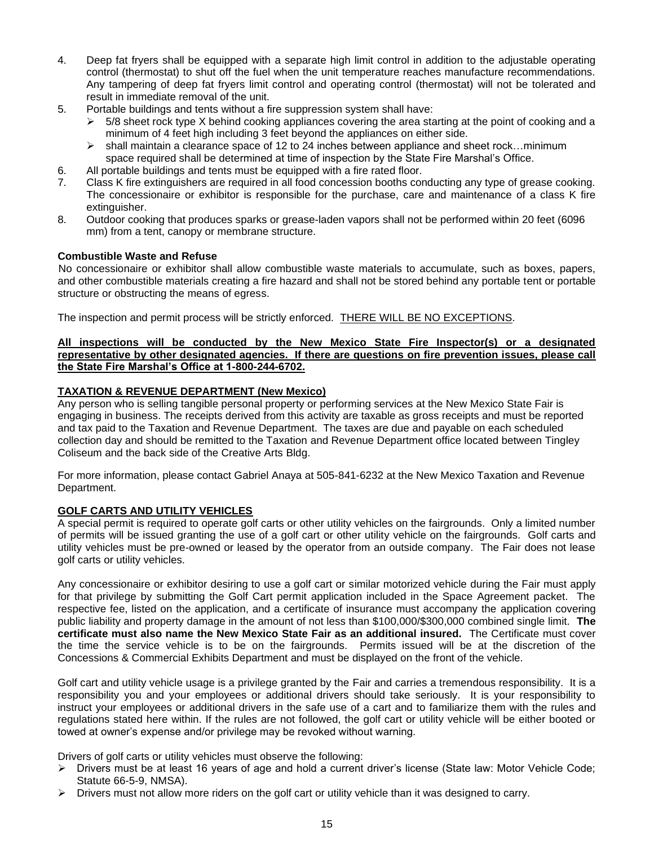- 4. Deep fat fryers shall be equipped with a separate high limit control in addition to the adjustable operating control (thermostat) to shut off the fuel when the unit temperature reaches manufacture recommendations. Any tampering of deep fat fryers limit control and operating control (thermostat) will not be tolerated and result in immediate removal of the unit.
- 5. Portable buildings and tents without a fire suppression system shall have:
	- 5/8 sheet rock type X behind cooking appliances covering the area starting at the point of cooking and a minimum of 4 feet high including 3 feet beyond the appliances on either side.
	- $\triangleright$  shall maintain a clearance space of 12 to 24 inches between appliance and sheet rock...minimum space required shall be determined at time of inspection by the State Fire Marshal's Office.
- 6. All portable buildings and tents must be equipped with a fire rated floor.
- 7. Class K fire extinguishers are required in all food concession booths conducting any type of grease cooking. The concessionaire or exhibitor is responsible for the purchase, care and maintenance of a class K fire extinguisher.
- 8. Outdoor cooking that produces sparks or grease-laden vapors shall not be performed within 20 feet (6096 mm) from a tent, canopy or membrane structure.

# **Combustible Waste and Refuse**

No concessionaire or exhibitor shall allow combustible waste materials to accumulate, such as boxes, papers, and other combustible materials creating a fire hazard and shall not be stored behind any portable tent or portable structure or obstructing the means of egress.

The inspection and permit process will be strictly enforced. THERE WILL BE NO EXCEPTIONS.

# **All inspections will be conducted by the New Mexico State Fire Inspector(s) or a designated representative by other designated agencies. If there are questions on fire prevention issues, please call the State Fire Marshal's Office at 1-800-244-6702.**

# **TAXATION & REVENUE DEPARTMENT (New Mexico)**

Any person who is selling tangible personal property or performing services at the New Mexico State Fair is engaging in business. The receipts derived from this activity are taxable as gross receipts and must be reported and tax paid to the Taxation and Revenue Department. The taxes are due and payable on each scheduled collection day and should be remitted to the Taxation and Revenue Department office located between Tingley Coliseum and the back side of the Creative Arts Bldg.

For more information, please contact Gabriel Anaya at 505-841-6232 at the New Mexico Taxation and Revenue Department.

## **GOLF CARTS AND UTILITY VEHICLES**

A special permit is required to operate golf carts or other utility vehicles on the fairgrounds. Only a limited number of permits will be issued granting the use of a golf cart or other utility vehicle on the fairgrounds. Golf carts and utility vehicles must be pre-owned or leased by the operator from an outside company. The Fair does not lease golf carts or utility vehicles.

Any concessionaire or exhibitor desiring to use a golf cart or similar motorized vehicle during the Fair must apply for that privilege by submitting the Golf Cart permit application included in the Space Agreement packet. The respective fee, listed on the application, and a certificate of insurance must accompany the application covering public liability and property damage in the amount of not less than \$100,000/\$300,000 combined single limit. **The certificate must also name the New Mexico State Fair as an additional insured.** The Certificate must cover the time the service vehicle is to be on the fairgrounds. Permits issued will be at the discretion of the Concessions & Commercial Exhibits Department and must be displayed on the front of the vehicle.

Golf cart and utility vehicle usage is a privilege granted by the Fair and carries a tremendous responsibility. It is a responsibility you and your employees or additional drivers should take seriously. It is your responsibility to instruct your employees or additional drivers in the safe use of a cart and to familiarize them with the rules and regulations stated here within. If the rules are not followed, the golf cart or utility vehicle will be either booted or towed at owner's expense and/or privilege may be revoked without warning.

Drivers of golf carts or utility vehicles must observe the following:

- ➢ Drivers must be at least 16 years of age and hold a current driver's license (State law: Motor Vehicle Code; Statute 66-5-9, NMSA).
- $\triangleright$  Drivers must not allow more riders on the golf cart or utility vehicle than it was designed to carry.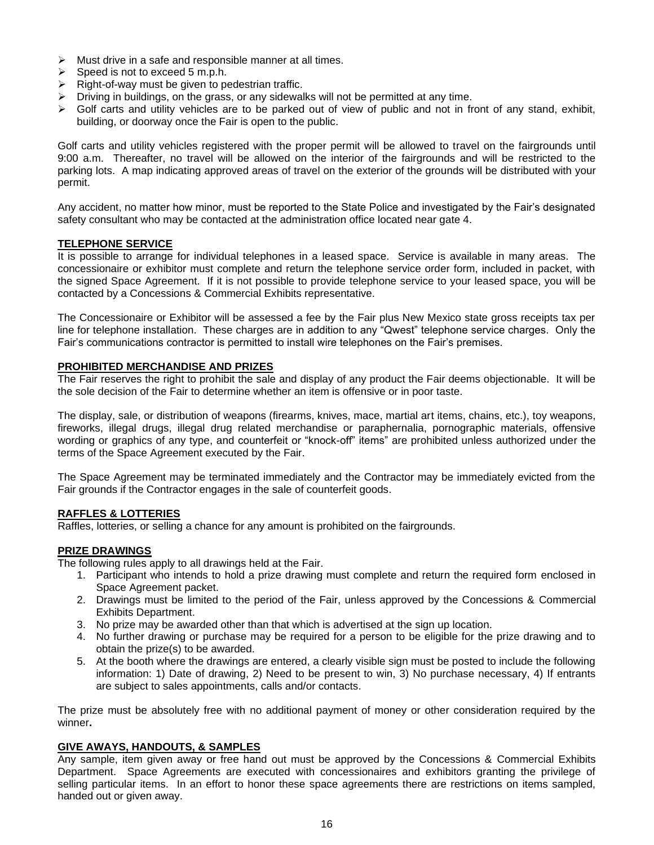- $\triangleright$  Must drive in a safe and responsible manner at all times.
- $\triangleright$  Speed is not to exceed 5 m.p.h.
- ➢ Right-of-way must be given to pedestrian traffic.
- ➢ Driving in buildings, on the grass, or any sidewalks will not be permitted at any time.
- $\triangleright$  Golf carts and utility vehicles are to be parked out of view of public and not in front of any stand, exhibit, building, or doorway once the Fair is open to the public.

Golf carts and utility vehicles registered with the proper permit will be allowed to travel on the fairgrounds until 9:00 a.m. Thereafter, no travel will be allowed on the interior of the fairgrounds and will be restricted to the parking lots. A map indicating approved areas of travel on the exterior of the grounds will be distributed with your permit.

Any accident, no matter how minor, must be reported to the State Police and investigated by the Fair's designated safety consultant who may be contacted at the administration office located near gate 4.

## **TELEPHONE SERVICE**

It is possible to arrange for individual telephones in a leased space. Service is available in many areas. The concessionaire or exhibitor must complete and return the telephone service order form, included in packet, with the signed Space Agreement. If it is not possible to provide telephone service to your leased space, you will be contacted by a Concessions & Commercial Exhibits representative.

The Concessionaire or Exhibitor will be assessed a fee by the Fair plus New Mexico state gross receipts tax per line for telephone installation. These charges are in addition to any "Qwest" telephone service charges. Only the Fair's communications contractor is permitted to install wire telephones on the Fair's premises.

# **PROHIBITED MERCHANDISE AND PRIZES**

The Fair reserves the right to prohibit the sale and display of any product the Fair deems objectionable. It will be the sole decision of the Fair to determine whether an item is offensive or in poor taste.

The display, sale, or distribution of weapons (firearms, knives, mace, martial art items, chains, etc.), toy weapons, fireworks, illegal drugs, illegal drug related merchandise or paraphernalia, pornographic materials, offensive wording or graphics of any type, and counterfeit or "knock-off" items" are prohibited unless authorized under the terms of the Space Agreement executed by the Fair.

The Space Agreement may be terminated immediately and the Contractor may be immediately evicted from the Fair grounds if the Contractor engages in the sale of counterfeit goods.

## **RAFFLES & LOTTERIES**

Raffles, lotteries, or selling a chance for any amount is prohibited on the fairgrounds.

## **PRIZE DRAWINGS**

The following rules apply to all drawings held at the Fair.

- 1. Participant who intends to hold a prize drawing must complete and return the required form enclosed in Space Agreement packet.
- 2. Drawings must be limited to the period of the Fair, unless approved by the Concessions & Commercial Exhibits Department.
- 3. No prize may be awarded other than that which is advertised at the sign up location.
- 4. No further drawing or purchase may be required for a person to be eligible for the prize drawing and to obtain the prize(s) to be awarded.
- 5. At the booth where the drawings are entered, a clearly visible sign must be posted to include the following information: 1) Date of drawing, 2) Need to be present to win, 3) No purchase necessary, 4) If entrants are subject to sales appointments, calls and/or contacts.

The prize must be absolutely free with no additional payment of money or other consideration required by the winner**.**

## **GIVE AWAYS, HANDOUTS, & SAMPLES**

Any sample, item given away or free hand out must be approved by the Concessions & Commercial Exhibits Department. Space Agreements are executed with concessionaires and exhibitors granting the privilege of selling particular items. In an effort to honor these space agreements there are restrictions on items sampled, handed out or given away.